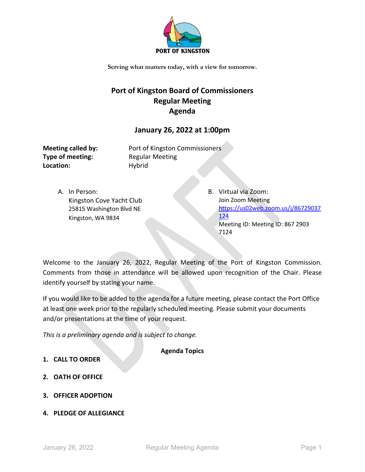

# **Port of Kingston Board of Commissioners Regular Meeting Agenda**

## **January 26, 2022 at 1:00pm**

**Type of meeting:** Regular Meeting Location: Hybrid

**Meeting called by:** Port of Kingston Commissioners

A. In Person: Kingston Cove Yacht Club 25815 Washington Blvd NE Kingston, WA 9834

B. Virtual via Zoom: Join Zoom Meeting [https://us02web.zoom.us/j/86729037](https://us02web.zoom.us/j/86729037124) [124](https://us02web.zoom.us/j/86729037124) Meeting ID: Meeting ID: 867 2903 7124

Welcome to the January 26, 2022, Regular Meeting of the Port of Kingston Commission. Comments from those in attendance will be allowed upon recognition of the Chair. Please identify yourself by stating your name.

If you would like to be added to the agenda for a future meeting, please contact the Port Office at least one week prior to the regularly scheduled meeting. Please submit your documents and/or presentations at the time of your request.

*This is a preliminary agenda and is subject to change.*

**Agenda Topics**

- **1. CALL TO ORDER**
- **2. OATH OF OFFICE**
- **3. OFFICER ADOPTION**
- **4. PLEDGE OF ALLEGIANCE**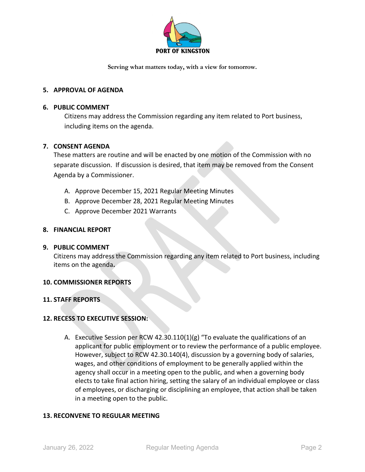

## **5. APPROVAL OF AGENDA**

## **6. PUBLIC COMMENT**

Citizens may address the Commission regarding any item related to Port business, including items on the agenda.

## **7. CONSENT AGENDA**

These matters are routine and will be enacted by one motion of the Commission with no separate discussion. If discussion is desired, that item may be removed from the Consent Agenda by a Commissioner.

- A. Approve December 15, 2021 Regular Meeting Minutes
- B. Approve December 28, 2021 Regular Meeting Minutes
- C. Approve December 2021 Warrants

## **8. FINANCIAL REPORT**

## **9. PUBLIC COMMENT**

Citizens may address the Commission regarding any item related to Port business, including items on the agenda**.**

## **10. COMMISSIONER REPORTS**

## **11. STAFF REPORTS**

## **12. RECESS TO EXECUTIVE SESSION:**

A. Executive Session per RCW 42.30.110(1)(g) "To evaluate the qualifications of an applicant for public employment or to review the performance of a public employee. However, subject to RCW 42.30.140(4), discussion by a governing body of salaries, wages, and other conditions of employment to be generally applied within the agency shall occur in a meeting open to the public, and when a governing body elects to take final action hiring, setting the salary of an individual employee or class of employees, or discharging or disciplining an employee, that action shall be taken in a meeting open to the public.

## **13. RECONVENE TO REGULAR MEETING**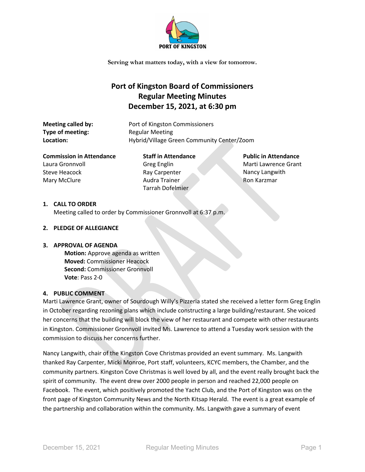

## **Port of Kingston Board of Commissioners Regular Meeting Minutes December 15, 2021, at 6:30 pm**

**Type of meeting:** Regular Meeting

**Meeting called by:** Port of Kingston Commissioners Location: **Hybrid/Village Green Community Center/Zoom** 

**Commission in Attendance** Laura Gronnvoll Steve Heacock Mary McClure

**Staff in Attendance** Greg Englin Ray Carpenter Audra Trainer Tarrah Dofelmier

**Public in Attendance**  Marti Lawrence Grant Nancy Langwith Ron Karzmar

#### **1. CALL TO ORDER**

Meeting called to order by Commissioner Gronnvoll at 6:37 p.m.

## **2. PLEDGE OF ALLEGIANCE**

#### **3. APPROVAL OF AGENDA**

**Motion:** Approve agenda as written **Moved:** Commissioner Heacock **Second:** Commissioner Gronnvoll **Vote**: Pass 2-0

#### **4. PUBLIC COMMENT**

Marti Lawrence Grant, owner of Sourdough Willy's Pizzeria stated she received a letter form Greg Englin in October regarding rezoning plans which include constructing a large building/restaurant. She voiced her concerns that the building will block the view of her restaurant and compete with other restaurants in Kingston. Commissioner Gronnvoll invited Ms. Lawrence to attend a Tuesday work session with the commission to discuss her concerns further.

Nancy Langwith, chair of the Kingston Cove Christmas provided an event summary. Ms. Langwith thanked Ray Carpenter, Micki Monroe, Port staff, volunteers, KCYC members, the Chamber, and the community partners. Kingston Cove Christmas is well loved by all, and the event really brought back the spirit of community. The event drew over 2000 people in person and reached 22,000 people on Facebook. The event, which positively promoted the Yacht Club, and the Port of Kingston was on the front page of Kingston Community News and the North Kitsap Herald. The event is a great example of the partnership and collaboration within the community. Ms. Langwith gave a summary of event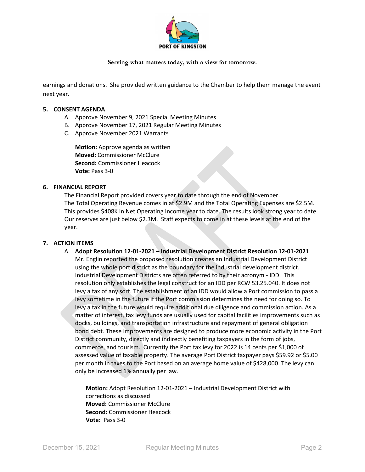

earnings and donations. She provided written guidance to the Chamber to help them manage the event next year.

#### **5. CONSENT AGENDA**

- A. Approve November 9, 2021 Special Meeting Minutes
- B. Approve November 17, 2021 Regular Meeting Minutes
- C. Approve November 2021 Warrants

**Motion:** Approve agenda as written **Moved:** Commissioner McClure **Second:** Commissioner Heacock **Vote:** Pass 3-0

#### **6. FINANCIAL REPORT**

The Financial Report provided covers year to date through the end of November. The Total Operating Revenue comes in at \$2.9M and the Total Operating Expenses are \$2.5M. This provides \$408K in Net Operating Income year to date. The results look strong year to date. Our reserves are just below \$2.3M. Staff expects to come in at these levels at the end of the year.

#### **7. ACTION ITEMS**

A. **Adopt Resolution 12-01-2021 – Industrial Development District Resolution 12-01-2021**  Mr. Englin reported the proposed resolution creates an Industrial Development District using the whole port district as the boundary for the industrial development district. Industrial Development Districts are often referred to by their acronym - IDD. This resolution only establishes the legal construct for an IDD per RCW 53.25.040. It does not levy a tax of any sort. The establishment of an IDD would allow a Port commission to pass a levy sometime in the future if the Port commission determines the need for doing so. To levy a tax in the future would require additional due diligence and commission action. As a matter of interest, tax levy funds are usually used for capital facilities improvements such as docks, buildings, and transportation infrastructure and repayment of general obligation bond debt. These improvements are designed to produce more economic activity in the Port District community, directly and indirectly benefiting taxpayers in the form of jobs, commerce, and tourism. Currently the Port tax levy for 2022 is 14 cents per \$1,000 of assessed value of taxable property. The average Port District taxpayer pays \$59.92 or \$5.00 per month in taxes to the Port based on an average home value of \$428,000. The levy can only be increased 1% annually per law.

**Motion:** Adopt Resolution 12-01-2021 – Industrial Development District with corrections as discussed **Moved:** Commissioner McClure **Second:** Commissioner Heacock **Vote:** Pass 3-0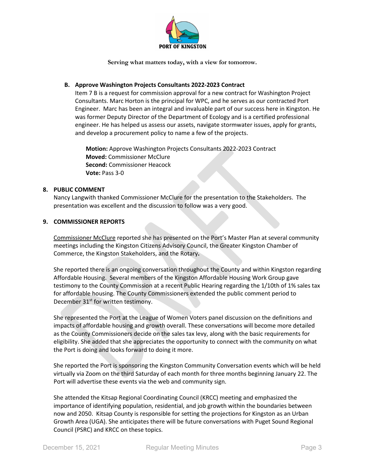

#### **B. Approve Washington Projects Consultants 2022-2023 Contract**

Item 7 B is a request for commission approval for a new contract for Washington Project Consultants. Marc Horton is the principal for WPC, and he serves as our contracted Port Engineer. Marc has been an integral and invaluable part of our success here in Kingston. He was former Deputy Director of the Department of Ecology and is a certified professional engineer. He has helped us assess our assets, navigate stormwater issues, apply for grants, and develop a procurement policy to name a few of the projects.

**Motion:** Approve Washington Projects Consultants 2022-2023 Contract **Moved:** Commissioner McClure **Second:** Commissioner Heacock **Vote:** Pass 3-0

#### **8. PUBLIC COMMENT**

Nancy Langwith thanked Commissioner McClure for the presentation to the Stakeholders. The presentation was excellent and the discussion to follow was a very good.

#### **9. COMMISSIONER REPORTS**

Commissioner McClure reported she has presented on the Port's Master Plan at several community meetings including the Kingston Citizens Advisory Council, the Greater Kingston Chamber of Commerce, the Kingston Stakeholders, and the Rotary**.** 

She reported there is an ongoing conversation throughout the County and within Kingston regarding Affordable Housing. Several members of the Kingston Affordable Housing Work Group gave testimony to the County Commission at a recent Public Hearing regarding the 1/10th of 1% sales tax for affordable housing. The County Commissioners extended the public comment period to December 31<sup>st</sup> for written testimony.

She represented the Port at the League of Women Voters panel discussion on the definitions and impacts of affordable housing and growth overall. These conversations will become more detailed as the County Commissioners decide on the sales tax levy, along with the basic requirements for eligibility. She added that she appreciates the opportunity to connect with the community on what the Port is doing and looks forward to doing it more.

She reported the Port is sponsoring the Kingston Community Conversation events which will be held virtually via Zoom on the third Saturday of each month for three months beginning January 22. The Port will advertise these events via the web and community sign.

She attended the Kitsap Regional Coordinating Council (KRCC) meeting and emphasized the importance of identifying population, residential, and job growth within the boundaries between now and 2050. Kitsap County is responsible for setting the projections for Kingston as an Urban Growth Area (UGA). She anticipates there will be future conversations with Puget Sound Regional Council (PSRC) and KRCC on these topics.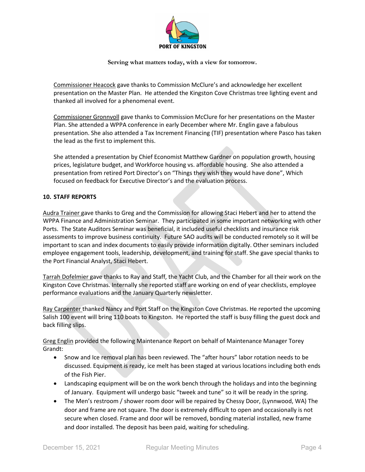

Commissioner Heacock gave thanks to Commission McClure's and acknowledge her excellent presentation on the Master Plan. He attended the Kingston Cove Christmas tree lighting event and thanked all involved for a phenomenal event.

Commissioner Gronnvoll gave thanks to Commission McClure for her presentations on the Master Plan. She attended a WPPA conference in early December where Mr. Englin gave a fabulous presentation. She also attended a Tax Increment Financing (TIF) presentation where Pasco has taken the lead as the first to implement this.

She attended a presentation by Chief Economist Matthew Gardner on population growth, housing prices, legislature budget, and Workforce housing vs. affordable housing. She also attended a presentation from retired Port Director's on "Things they wish they would have done", Which focused on feedback for Executive Director's and the evaluation process.

## **10. STAFF REPORTS**

Audra Trainer gave thanks to Greg and the Commission for allowing Staci Hebert and her to attend the WPPA Finance and Administration Seminar. They participated in some important networking with other Ports. The State Auditors Seminar was beneficial, it included useful checklists and insurance risk assessments to improve business continuity. Future SAO audits will be conducted remotely so it will be important to scan and index documents to easily provide information digitally. Other seminars included employee engagement tools, leadership, development, and training for staff. She gave special thanks to the Port Financial Analyst, Staci Hebert.

Tarrah Dofelmier gave thanks to Ray and Staff, the Yacht Club, and the Chamber for all their work on the Kingston Cove Christmas. Internally she reported staff are working on end of year checklists, employee performance evaluations and the January Quarterly newsletter.

Ray Carpenter thanked Nancy and Port Staff on the Kingston Cove Christmas. He reported the upcoming Salish 100 event will bring 110 boats to Kingston. He reported the staff is busy filling the guest dock and back filling slips.

Greg Englin provided the following Maintenance Report on behalf of Maintenance Manager Torey Grandt:

- Snow and Ice removal plan has been reviewed. The "after hours" labor rotation needs to be discussed. Equipment is ready, ice melt has been staged at various locations including both ends of the Fish Pier.
- Landscaping equipment will be on the work bench through the holidays and into the beginning of January. Equipment will undergo basic "tweek and tune" so it will be ready in the spring.
- The Men's restroom / shower room door will be repaired by Chessy Door, (Lynnwood, WA) The door and frame are not square. The door is extremely difficult to open and occasionally is not secure when closed. Frame and door will be removed, bonding material installed, new frame and door installed. The deposit has been paid, waiting for scheduling.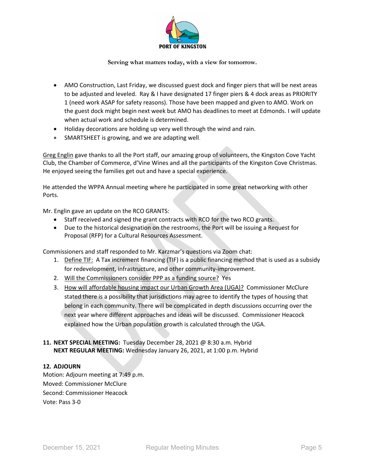

- AMO Construction, Last Friday, we discussed guest dock and finger piers that will be next areas to be adjusted and leveled. Ray & I have designated 17 finger piers & 4 dock areas as PRIORITY 1 (need work ASAP for safety reasons). Those have been mapped and given to AMO. Work on the guest dock might begin next week but AMO has deadlines to meet at Edmonds. I will update when actual work and schedule is determined.
- Holiday decorations are holding up very well through the wind and rain.
- SMARTSHEET is growing, and we are adapting well.

Greg Englin gave thanks to all the Port staff, our amazing group of volunteers, the Kingston Cove Yacht Club, the Chamber of Commerce, d'Vine Wines and all the participants of the Kingston Cove Christmas. He enjoyed seeing the families get out and have a special experience.

He attended the WPPA Annual meeting where he participated in some great networking with other Ports.

Mr. Englin gave an update on the RCO GRANTS:

- Staff received and signed the grant contracts with RCO for the two RCO grants.
- Due to the historical designation on the restrooms, the Port will be issuing a Request for Proposal (RFP) for a Cultural Resources Assessment.

Commissioners and staff responded to Mr. Karzmar's questions via Zoom chat:

- 1. Define TIF: A Tax increment financing (TIF) is a public financing method that is used as a subsidy for redevelopment, infrastructure, and other community-improvement.
- 2. Will the Commissioners consider PPP as a funding source? Yes
- 3. How will affordable housing impact our Urban Growth Area (UGA)? Commissioner McClure stated there is a possibility that jurisdictions may agree to identify the types of housing that belong in each community. There will be complicated in depth discussions occurring over the next year where different approaches and ideas will be discussed. Commissioner Heacock explained how the Urban population growth is calculated through the UGA.

## **11. NEXT SPECIAL MEETING:** Tuesday December 28, 2021 @ 8:30 a.m. Hybrid **NEXT REGULAR MEETING:** Wednesday January 26, 2021, at 1:00 p.m. Hybrid

#### **12. ADJOURN**

Motion: Adjourn meeting at 7:49 p.m. Moved: Commissioner McClure Second: Commissioner Heacock Vote: Pass 3-0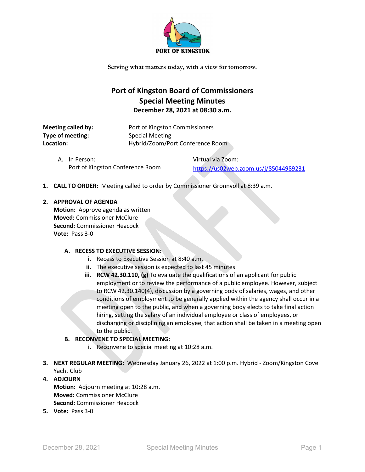

## **Port of Kingston Board of Commissioners Special Meeting Minutes December 28, 2021 at 08:30 a.m.**

| Meeting called by: | Port of Kingston Commissioners   |
|--------------------|----------------------------------|
| Type of meeting:   | <b>Special Meeting</b>           |
| Location:          | Hybrid/Zoom/Port Conference Room |

| A. In Person:                    | Virtual via Zoom:                     |
|----------------------------------|---------------------------------------|
| Port of Kingston Conference Room | https://us02web.zoom.us/j/85044989231 |

**1. CALL TO ORDER:** Meeting called to order by Commissioner Gronnvoll at 8:39 a.m.

#### **2. APPROVAL OF AGENDA**

**Motion:** Approve agenda as written **Moved:** Commissioner McClure **Second:** Commissioner Heacock **Vote:** Pass 3-0

#### **A. RECESS TO EXECUTIVE SESSION:**

- **i.** Recess to Executive Session at 8:40 a.m.
- **ii.** The executive session is expected to last 45 minutes
- **iii. RCW 42.30.110, (g)** To evaluate the qualifications of an applicant for public employment or to review the performance of a public employee. However, subject to RCW 42.30.140(4), discussion by a governing body of salaries, wages, and other conditions of employment to be generally applied within the agency shall occur in a meeting open to the public, and when a governing body elects to take final action hiring, setting the salary of an individual employee or class of employees, or discharging or disciplining an employee, that action shall be taken in a meeting open to the public.

## **B. RECONVENE TO SPECIAL MEETING:**

- i. Reconvene to special meeting at 10:28 a.m.
- **3. NEXT REGULAR MEETING:** Wednesday January 26, 2022 at 1:00 p.m. Hybrid Zoom/Kingston Cove Yacht Club

## **4. ADJOURN Motion:** Adjourn meeting at 10:28 a.m. **Moved:** Commissioner McClure

- **Second:** Commissioner Heacock
- **5. Vote:** Pass 3-0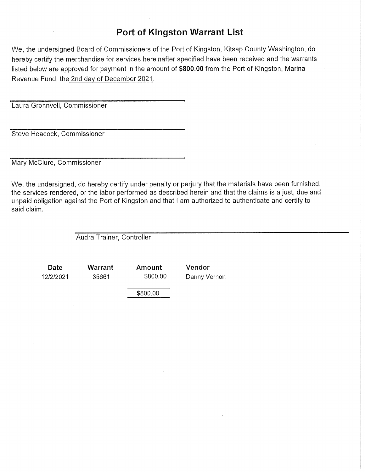We, the undersigned Board of Commissioners of the Port of Kingston, Kitsap County Washington, do hereby certify the merchandise for services hereinafter specified have been received and the warrants listed below are approved for payment in the amount of \$800.00 from the Port of Kingston, Marina Revenue Fund, the 2nd day of December 2021.

Laura Gronnyoll, Commissioner

Steve Heacock, Commissioner

Mary McClure, Commissioner

We, the undersigned, do hereby certify under penalty or perjury that the materials have been furnished, the services rendered, or the labor performed as described herein and that the claims is a just, due and unpaid obligation against the Port of Kingston and that I am authorized to authenticate and certify to said claim.

Audra Trainer, Controller

Warrant

35661

Date 12/2/2021 Amount \$800.00

Vendor Danny Vernon

\$800.00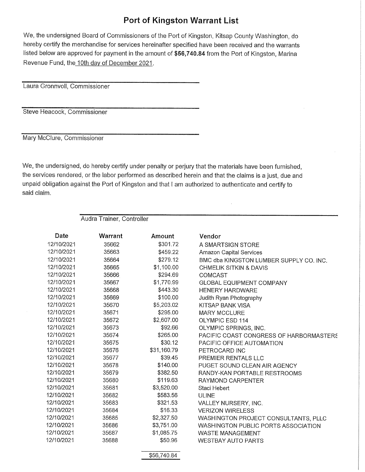We, the undersigned Board of Commissioners of the Port of Kingston, Kitsap County Washington, do hereby certify the merchandise for services hereinafter specified have been received and the warrants listed below are approved for payment in the amount of \$56,740.84 from the Port of Kingston, Marina Revenue Fund, the 10th day of December 2021.

Laura Gronnvoll, Commissioner

Steve Heacock, Commissioner

Mary McClure, Commissioner

We, the undersigned, do hereby certify under penalty or perjury that the materials have been furnished, the services rendered, or the labor performed as described herein and that the claims is a just, due and unpaid obligation against the Port of Kingston and that I am authorized to authenticate and certify to said claim.

Audra Trainer, Controller

| Date       | Warrant | Amount      | Vendor                                  |
|------------|---------|-------------|-----------------------------------------|
| 12/10/2021 | 35662   | \$301.72    | A SMARTSIGN STORE                       |
| 12/10/2021 | 35663   | \$459.22    | <b>Amazon Capital Services</b>          |
| 12/10/2021 | 35664   | \$279.12    | BMC dba KINGSTON LUMBER SUPPLY CO. INC. |
| 12/10/2021 | 35665   | \$1,100.00  | CHMELIK SITKIN & DAVIS                  |
| 12/10/2021 | 35666   | \$294.69    | <b>COMCAST</b>                          |
| 12/10/2021 | 35667   | \$1,770.99  | <b>GLOBAL EQUIPMENT COMPANY</b>         |
| 12/10/2021 | 35668   | \$443.30    | <b>HENERY HARDWARE</b>                  |
| 12/10/2021 | 35669   | \$100.00    | Judith Ryan Photography                 |
| 12/10/2021 | 35670   | \$5,203.02  | KITSAP BANK VISA                        |
| 12/10/2021 | 35671   | \$295.00    | <b>MARY MCCLURE</b>                     |
| 12/10/2021 | 35672   | \$2,607.00  | <b>OLYMPIC ESD 114</b>                  |
| 12/10/2021 | 35673   | \$92.66     | OLYMPIC SPRINGS, INC.                   |
| 12/10/2021 | 35674   | \$265.00    | PACIFIC COAST CONGRESS OF HARBORMASTERS |
| 12/10/2021 | 35675   | \$30.12     | PACIFIC OFFICE AUTOMATION               |
| 12/10/2021 | 35676   | \$31,160.79 | PETROCARD INC                           |
| 12/10/2021 | 35677   | \$39.45     | PREMIER RENTALS LLC                     |
| 12/10/2021 | 35678   | \$140.00    | PUGET SOUND CLEAN AIR AGENCY            |
| 12/10/2021 | 35679   | \$382.50    | RANDY-KAN PORTABLE RESTROOMS            |
| 12/10/2021 | 35680   | \$119.63    | RAYMOND CARPENTER                       |
| 12/10/2021 | 35681   | \$3,520.00  | Staci Hebert                            |
| 12/10/2021 | 35682   | \$583.56    | <b>ULINE</b>                            |
| 12/10/2021 | 35683   | \$321.53    | VALLEY NURSERY, INC.                    |
| 12/10/2021 | 35684   | \$16.33     | <b>VERIZON WIRELESS</b>                 |
| 12/10/2021 | 35685   | \$2,327.50  | WASHINGTON PROJECT CONSULTANTS, PLLC    |
| 12/10/2021 | 35686   | \$3,751.00  | WASHINGTON PUBLIC PORTS ASSOCIATION     |
| 12/10/2021 | 35687   | \$1,085.75  | <b>WASTE MANAGEMENT</b>                 |
| 12/10/2021 | 35688   | \$50.96     | <b>WESTBAY AUTO PARTS</b>               |

\$56,740.84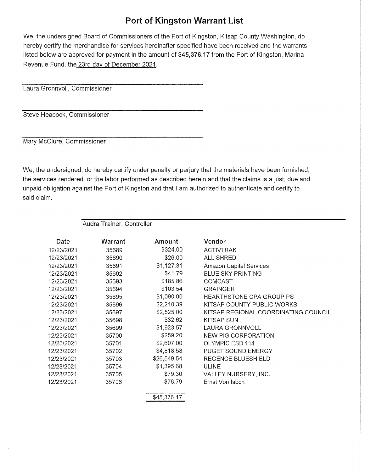We, the undersigned Board of Commissioners of the Port of Kingston, Kitsap County Washington, do hereby certify the merchandise for services hereinafter specified have been received and the warrants listed below are approved for payment in the amount of \$45,376.17 from the Port of Kingston, Marina Revenue Fund, the 23rd day of December 2021.

Laura Gronnvoll, Commissioner

Steve Heacock, Commissioner

Mary McClure, Commissioner

We, the undersigned, do hereby certify under penalty or perjury that the materials have been furnished, the services rendered, or the labor performed as described herein and that the claims is a just, due and unpaid obligation against the Port of Kingston and that I am authorized to authenticate and certify to said claim.

Audra Trainer, Controller

| Date       | Warrant | Amount      | Vendor                               |
|------------|---------|-------------|--------------------------------------|
| 12/23/2021 | 35689   | \$324.00    | <b>ACTIVTRAK</b>                     |
| 12/23/2021 | 35690   | \$26.00     | <b>ALL SHRED</b>                     |
| 12/23/2021 | 35691   | \$1,127.31  | <b>Amazon Capital Services</b>       |
| 12/23/2021 | 35692   | \$41.79     | <b>BLUE SKY PRINTING</b>             |
| 12/23/2021 | 35693   | \$185.86    | COMCAST                              |
| 12/23/2021 | 35694   | \$103.54    | <b>GRAINGER</b>                      |
| 12/23/2021 | 35695   | \$1,090.00  | HEARTHSTONE CPA GROUP PS             |
| 12/23/2021 | 35696   | \$2,210.39  | KITSAP COUNTY PUBLIC WORKS           |
| 12/23/2021 | 35697   | \$2,525.00  | KITSAP REGIONAL COORDINATING COUNCIL |
| 12/23/2021 | 35698   | \$32.62     | KITSAP SUN                           |
| 12/23/2021 | 35699   | \$1,923.57  | LAURA GRONNVOLL                      |
| 12/23/2021 | 35700   | \$259.20    | <b>NEW PIG CORPORATION</b>           |
| 12/23/2021 | 35701   | \$2,607.00  | OLYMPIC ESD 114                      |
| 12/23/2021 | 35702   | \$4,818.58  | PUGET SOUND ENERGY                   |
| 12/23/2021 | 35703   | \$26,549.54 | <b>REGENCE BLUESHIELD</b>            |
| 12/23/2021 | 35704   | \$1,395.68  | ULINE                                |
| 12/23/2021 | 35705   | \$79.30     | VALLEY NURSERY, INC.                 |
| 12/23/2021 | 35706   | \$76.79     | Ernst Von Isbch                      |
|            |         | \$45,376.17 |                                      |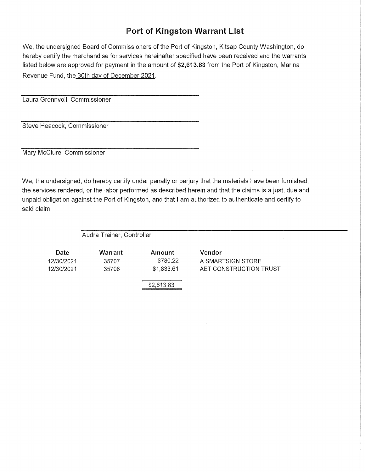We, the undersigned Board of Commissioners of the Port of Kingston, Kitsap County Washington, do hereby certify the merchandise for services hereinafter specified have been received and the warrants listed below are approved for payment in the amount of \$2,613.83 from the Port of Kingston, Marina Revenue Fund, the 30th day of December 2021.

Laura Gronnvoll, Commissioner

Steve Heacock, Commissioner

Mary McClure, Commissioner

We, the undersigned, do hereby certify under penalty or perjury that the materials have been furnished, the services rendered, or the labor performed as described herein and that the claims is a just, due and unpaid obligation against the Port of Kingston, and that I am authorized to authenticate and certify to said claim.

Audra Trainer, Controller

| Date       | Warrant | Amount     | Vendor                 |
|------------|---------|------------|------------------------|
| 12/30/2021 | 35707   | \$780.22   | A SMARTSIGN STORE      |
| 12/30/2021 | 35708   | \$1,833.61 | AET CONSTRUCTION TRUST |
|            |         | \$2,613.83 |                        |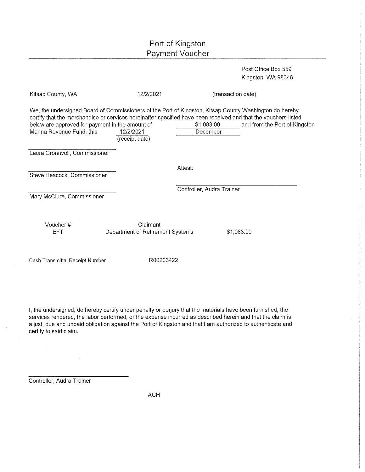Post Office Box 559 Kingston, WA 98346

| Kitsap County, WA                                                                                                                                                                                                                                                                                        | 12/2/2021                                    | (transaction date)        |                               |
|----------------------------------------------------------------------------------------------------------------------------------------------------------------------------------------------------------------------------------------------------------------------------------------------------------|----------------------------------------------|---------------------------|-------------------------------|
| We, the undersigned Board of Commissioners of the Port of Kingston, Kitsap County Washington do hereby<br>certify that the merchandise or services hereinafter specified have been received and that the vouchers listed<br>below are approved for payment in the amount of<br>Marina Revenue Fund, this | 12/2/2021<br>(receipt date)                  | \$1,083.00<br>December    | and from the Port of Kingston |
| Laura Gronnvoll, Commissioner                                                                                                                                                                                                                                                                            |                                              |                           |                               |
| Steve Heacock, Commissioner                                                                                                                                                                                                                                                                              |                                              | Attest:                   |                               |
| Mary McClure, Commissioner                                                                                                                                                                                                                                                                               |                                              | Controller, Audra Trainer |                               |
| Voucher#<br><b>EFT</b>                                                                                                                                                                                                                                                                                   | Claimant<br>Department of Retirement Systems | \$1,083.00                |                               |

Cash Transmittal Receipt Number

R00203422

I, the undersigned, do hereby certify under penalty or perjury that the materials have been furnished, the services rendered, the labor performed, or the expense incurred as described herein and that the claim is a just, due and unpaid obligation against the Port of Kingston and that I am authorized to authenticate and certify to said claim.

Controller, Audra Trainer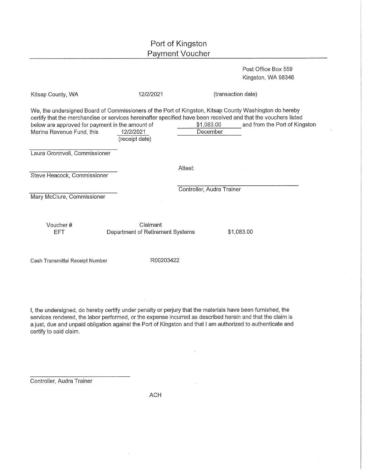Post Office Box 559 Kingston, WA 98346

| Kitsap County, WA                                                            | 12/2/2021                                    |                           | (transaction date)                                                                                                                                                                                                                                        |  |
|------------------------------------------------------------------------------|----------------------------------------------|---------------------------|-----------------------------------------------------------------------------------------------------------------------------------------------------------------------------------------------------------------------------------------------------------|--|
| below are approved for payment in the amount of<br>Marina Revenue Fund, this | 12/2/2021<br>(receipt date)                  | \$1,083.00<br>December    | We, the undersigned Board of Commissioners of the Port of Kingston, Kitsap County Washington do hereby<br>certify that the merchandise or services hereinafter specified have been received and that the vouchers listed<br>and from the Port of Kingston |  |
| Laura Gronnvoll, Commissioner                                                |                                              |                           |                                                                                                                                                                                                                                                           |  |
| Steve Heacock, Commissioner                                                  |                                              | Attest:                   |                                                                                                                                                                                                                                                           |  |
| Mary McClure, Commissioner                                                   |                                              | Controller, Audra Trainer |                                                                                                                                                                                                                                                           |  |
|                                                                              |                                              |                           |                                                                                                                                                                                                                                                           |  |
| Voucher#<br>EFT                                                              | Claimant<br>Department of Retirement Systems |                           | \$1,083.00                                                                                                                                                                                                                                                |  |
| Cash Transmittal Receipt Number                                              | R00203422                                    |                           |                                                                                                                                                                                                                                                           |  |

I, the undersigned, do hereby certify under penalty or perjury that the materials have been furnished, the services rendered, the labor performed, or the expense incurred as described herein and that the claim is a just, due and unpaid obligation against the Port of Kingston and that I am authorized to authenticate and certify to said claim.

Controller, Audra Trainer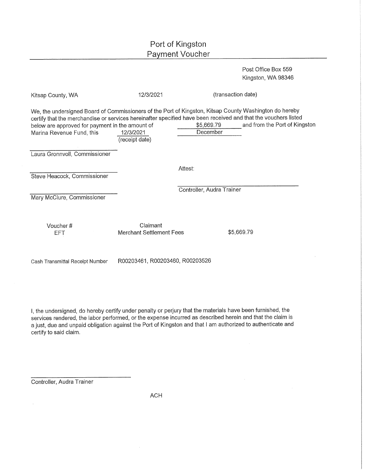Post Office Box 559 Kingston, WA 98346

| Kitsap County, WA                                                                                                                                                                                                                                                                                        | 12/3/2021                            |                           | (transaction date)            |
|----------------------------------------------------------------------------------------------------------------------------------------------------------------------------------------------------------------------------------------------------------------------------------------------------------|--------------------------------------|---------------------------|-------------------------------|
| We, the undersigned Board of Commissioners of the Port of Kingston, Kitsap County Washington do hereby<br>certify that the merchandise or services hereinafter specified have been received and that the vouchers listed<br>below are approved for payment in the amount of<br>Marina Revenue Fund, this | 12/3/2021<br>(receipt date)          | \$5,669.79<br>December    | and from the Port of Kingston |
| Laura Gronnvoll, Commissioner                                                                                                                                                                                                                                                                            |                                      |                           |                               |
| Steve Heacock, Commissioner                                                                                                                                                                                                                                                                              |                                      | Attest:                   |                               |
| Mary McClure, Commissioner                                                                                                                                                                                                                                                                               |                                      | Controller, Audra Trainer |                               |
| Voucher#<br>EFT                                                                                                                                                                                                                                                                                          | Claimant<br>Merchant Settlement Fees |                           | \$5,669.79                    |
| Cash Transmittal Receipt Number                                                                                                                                                                                                                                                                          | R00203461, R00203460, R00203526      |                           |                               |

I, the undersigned, do hereby certify under penalty or perjury that the materials have been furnished, the services rendered, the labor performed, or the expense incurred as described herein and that the claim is a just, due and unpaid obligation against the Port of Kingston and that I am authorized to authenticate and certify to said claim.

Controller, Audra Trainer

 $\bar{z}$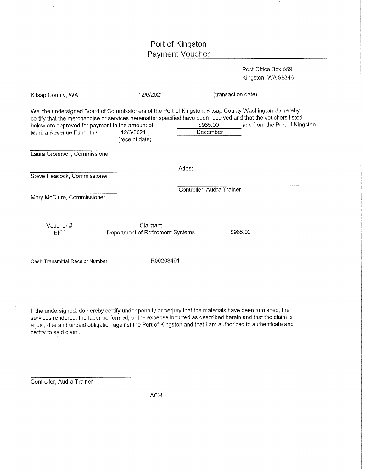Post Office Box 559 Kingston, WA 98346

| Kitsap County, WA                                                                                                                                                                      | 12/6/2021                                    |                           | (transaction date)                                                                                                                              |
|----------------------------------------------------------------------------------------------------------------------------------------------------------------------------------------|----------------------------------------------|---------------------------|-------------------------------------------------------------------------------------------------------------------------------------------------|
| We, the undersigned Board of Commissioners of the Port of Kingston, Kitsap County Washington do hereby<br>below are approved for payment in the amount of<br>Marina Revenue Fund, this | 12/6/2021<br>(receipt date)                  | \$965.00<br>December      | certify that the merchandise or services hereinafter specified have been received and that the vouchers listed<br>and from the Port of Kingston |
| Laura Gronnvoll, Commissioner                                                                                                                                                          |                                              |                           |                                                                                                                                                 |
|                                                                                                                                                                                        |                                              | Attest:                   |                                                                                                                                                 |
| Steve Heacock, Commissioner                                                                                                                                                            |                                              |                           |                                                                                                                                                 |
| Mary McClure, Commissioner                                                                                                                                                             |                                              | Controller, Audra Trainer |                                                                                                                                                 |
| Voucher#<br>EFT                                                                                                                                                                        | Claimant<br>Department of Retirement Systems |                           | \$965.00                                                                                                                                        |
| Cash Transmittal Receipt Number                                                                                                                                                        | R00203491                                    |                           |                                                                                                                                                 |

I, the undersigned, do hereby certify under penalty or perjury that the materials have been furnished, the services rendered, the labor performed, or the expense incurred as described herein and that the claim is a just, due and unpaid obligation against the Port of Kingston and that I am authorized to authenticate and certify to said claim.

Controller, Audra Trainer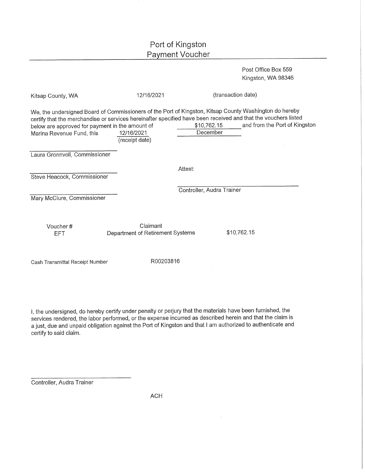Post Office Box 559 Kingston, WA 98346

| Kitsap County, WA                                                            | 12/16/2021                                   | (transaction date)                                                                                                                                                                                                                                                                   |
|------------------------------------------------------------------------------|----------------------------------------------|--------------------------------------------------------------------------------------------------------------------------------------------------------------------------------------------------------------------------------------------------------------------------------------|
| below are approved for payment in the amount of<br>Marina Revenue Fund, this | 12/16/2021<br>(receipt date)                 | We, the undersigned Board of Commissioners of the Port of Kingston, Kitsap County Washington do hereby<br>certify that the merchandise or services hereinafter specified have been received and that the vouchers listed<br>and from the Port of Kingston<br>\$10,762.15<br>December |
| Laura Gronnvoll, Commissioner                                                |                                              |                                                                                                                                                                                                                                                                                      |
|                                                                              |                                              | Attest:                                                                                                                                                                                                                                                                              |
| Steve Heacock, Commissioner                                                  |                                              |                                                                                                                                                                                                                                                                                      |
|                                                                              |                                              | Controller, Audra Trainer                                                                                                                                                                                                                                                            |
| Mary McClure, Commissioner                                                   |                                              |                                                                                                                                                                                                                                                                                      |
| Voucher#<br><b>EFT</b>                                                       | Claimant<br>Department of Retirement Systems | \$10,762.15                                                                                                                                                                                                                                                                          |
| Cash Transmittal Receipt Number                                              | R00203816                                    |                                                                                                                                                                                                                                                                                      |

I, the undersigned, do hereby certify under penalty or perjury that the materials have been furnished, the services rendered, the labor performed, or the expense incurred as described herein and that the claim is a just, due and unpaid obligation against the Port of Kingston and that I am authorized to authenticate and certify to said claim.

Controller, Audra Trainer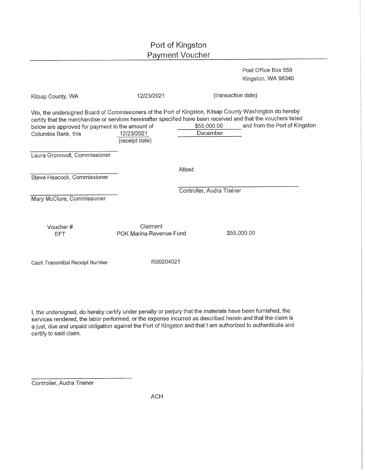Post Office Box 559 Kingston, WA 98346

| Kitsap County, WA                                                      | 12/23/2021                          | (transaction date)                                                                                                                                                                                                                                                                   |  |
|------------------------------------------------------------------------|-------------------------------------|--------------------------------------------------------------------------------------------------------------------------------------------------------------------------------------------------------------------------------------------------------------------------------------|--|
| below are approved for payment in the amount of<br>Columbia Bank, this | 12/23/2021<br>(receipt date)        | We, the undersigned Board of Commissioners of the Port of Kingston, Kitsap County Washington do hereby<br>certify that the merchandise or services hereinafter specified have been received and that the vouchers listed<br>\$55,000.00<br>and from the Port of Kingston<br>December |  |
| Laura Gronnvoll, Commissioner                                          |                                     |                                                                                                                                                                                                                                                                                      |  |
| Steve Heacock, Commissioner                                            |                                     | Attest:                                                                                                                                                                                                                                                                              |  |
| Mary McClure, Commissioner                                             |                                     | Controller, Audra Trainer                                                                                                                                                                                                                                                            |  |
| Voucher#<br>EFT                                                        | Claimant<br>POK Marina Revenue Fund | \$55,000.00                                                                                                                                                                                                                                                                          |  |

Cash Transmittal Receipt Number

R00204021

I, the undersigned, do hereby certify under penalty or perjury that the materials have been furnished, the services rendered, the labor performed, or the expense incurred as described herein and that the claim is a just, due and unpaid obligation against the Port of Kingston and that I am authorized to authenticate and certify to said claim.

Controller, Audra Trainer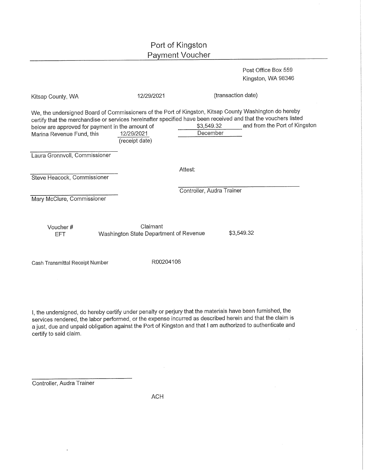Post Office Box 559 Kingston, WA 98346

| Kitsap County, WA                                                                                                                                                                                                                                                                                        | 12/29/2021                                         | (transaction date)        |                               |
|----------------------------------------------------------------------------------------------------------------------------------------------------------------------------------------------------------------------------------------------------------------------------------------------------------|----------------------------------------------------|---------------------------|-------------------------------|
| We, the undersigned Board of Commissioners of the Port of Kingston, Kitsap County Washington do hereby<br>certify that the merchandise or services hereinafter specified have been received and that the vouchers listed<br>below are approved for payment in the amount of<br>Marina Revenue Fund, this | 12/29/2021<br>(receipt date)                       | \$3,549.32<br>December    | and from the Port of Kingston |
| Laura Gronnvoll, Commissioner                                                                                                                                                                                                                                                                            |                                                    |                           |                               |
|                                                                                                                                                                                                                                                                                                          |                                                    | Attest:                   |                               |
| Steve Heacock, Commissioner                                                                                                                                                                                                                                                                              |                                                    |                           |                               |
|                                                                                                                                                                                                                                                                                                          |                                                    | Controller, Audra Trainer |                               |
| Mary McClure, Commissioner                                                                                                                                                                                                                                                                               |                                                    |                           |                               |
|                                                                                                                                                                                                                                                                                                          |                                                    |                           |                               |
| Voucher#<br><b>EFT</b>                                                                                                                                                                                                                                                                                   | Claimant<br>Washington State Department of Revenue |                           | \$3,549.32                    |

Cash Transmittal Receipt Number

R00204106

I, the undersigned, do hereby certify under penalty or perjury that the materials have been furnished, the services rendered, the labor performed, or the expense incurred as described herein and that the claim is a just, due and unpaid obligation against the Port of Kingston and that I am authorized to authenticate and certify to said claim.

Controller, Audra Trainer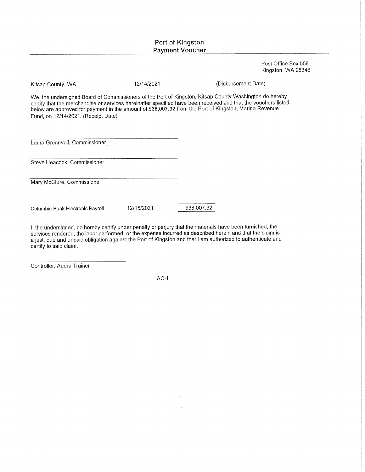Post Office Box 559 Kingston, WA 98346

Kitsap County, WA

12/14/2021

(Disbursement Date)

We, the undersigned Board of Commissioners of the Port of Kingston, Kitsap County Washington do hereby certify that the merchandise or services hereinafter specified have been received and that the vouchers listed<br>below are approved for payment in the amount of \$38,007.32 from the Port of Kingston, Marina Revenue Fund. on 12/14/2021. (Receipt Date)

Laura Gronnvoll, Commissioner

Steve Heacock, Commissioner

Mary McClure, Commissioner

Columbia Bank Electronic Payroll

12/15/2021

\$38,007.32

I, the undersigned, do hereby certify under penalty or perjury that the materials have been furnished, the services rendered, the labor performed, or the expense incurred as described herein and that the claim is a just, due and unpaid obligation against the Port of Kingston and that I am authorized to authenticate and certify to said claim.

Controller, Audra Trainer